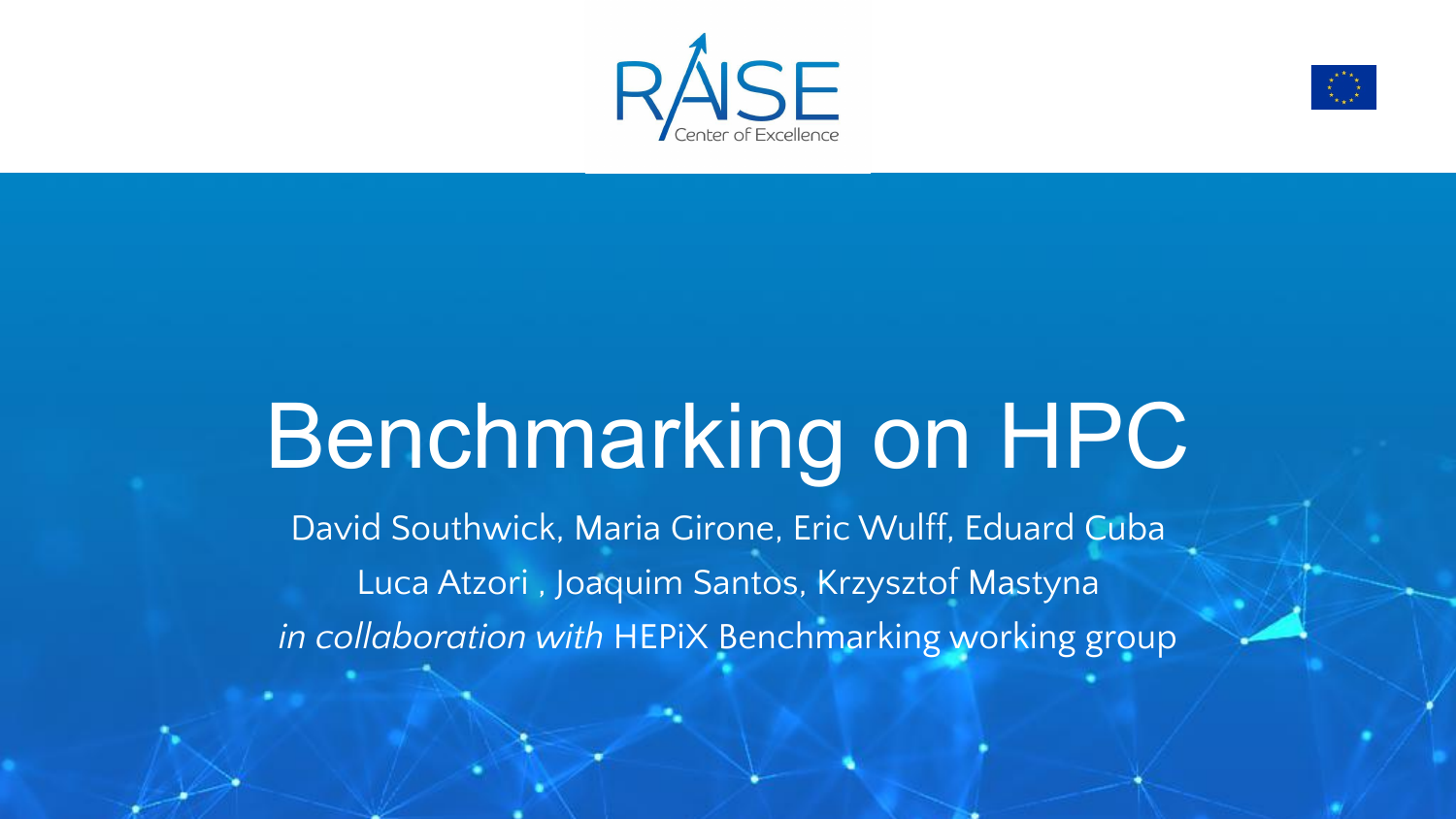



## Benchmarking on HPC

David Southwick, Maria Girone, Eric Wulff, Eduard Cuba Luca Atzori , Joaquim Santos, Krzysztof Mastyna *in collaboration with* HEPiX Benchmarking working group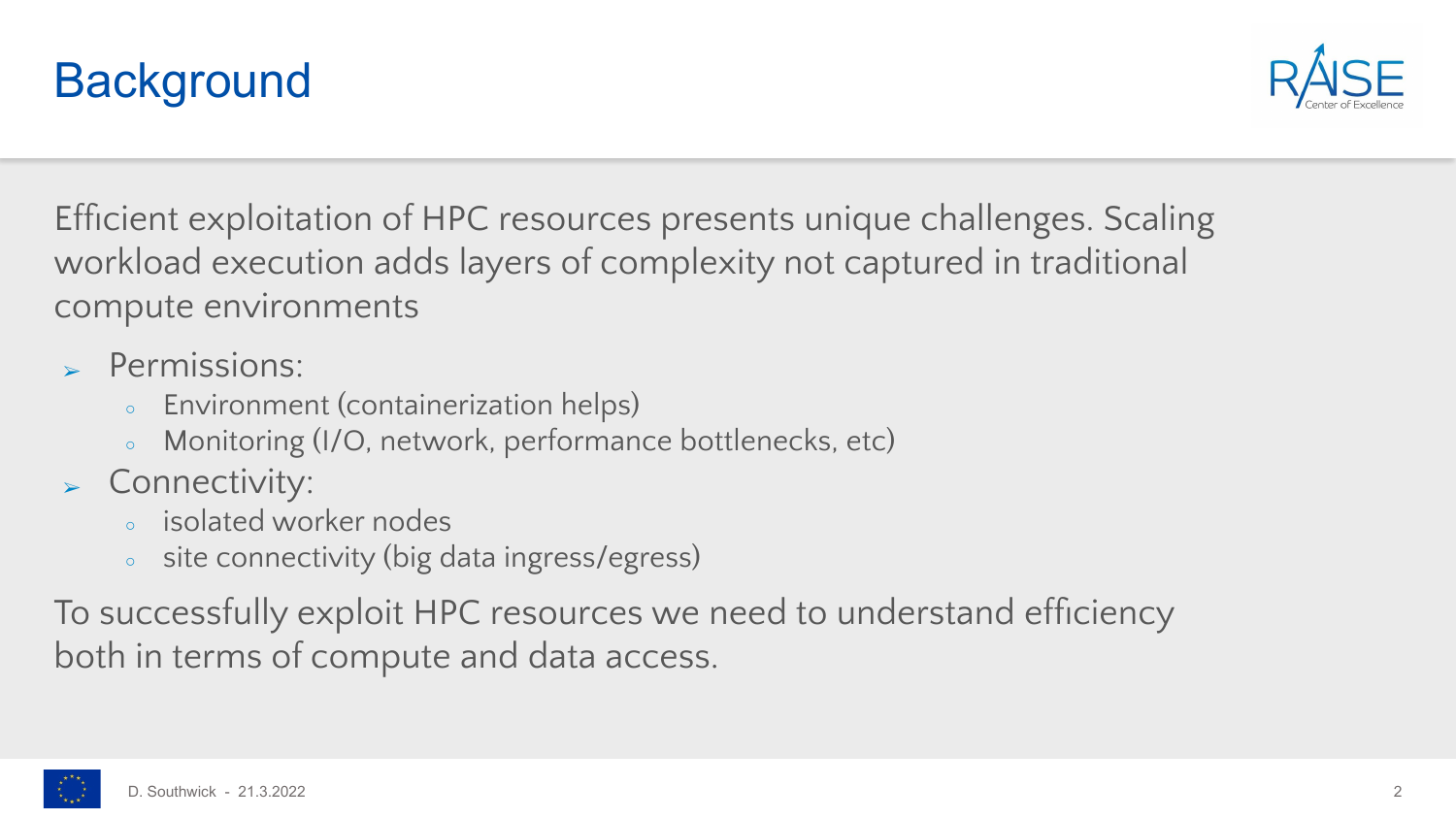



Efficient exploitation of HPC resources presents unique challenges. Scaling workload execution adds layers of complexity not captured in traditional compute environments

- ➢ Permissions:
	- Environment (containerization helps)
	- Monitoring (I/O, network, performance bottlenecks, etc)
- ➢ Connectivity:
	- isolated worker nodes
	- site connectivity (big data ingress/egress)

To successfully exploit HPC resources we need to understand efficiency both in terms of compute and data access.

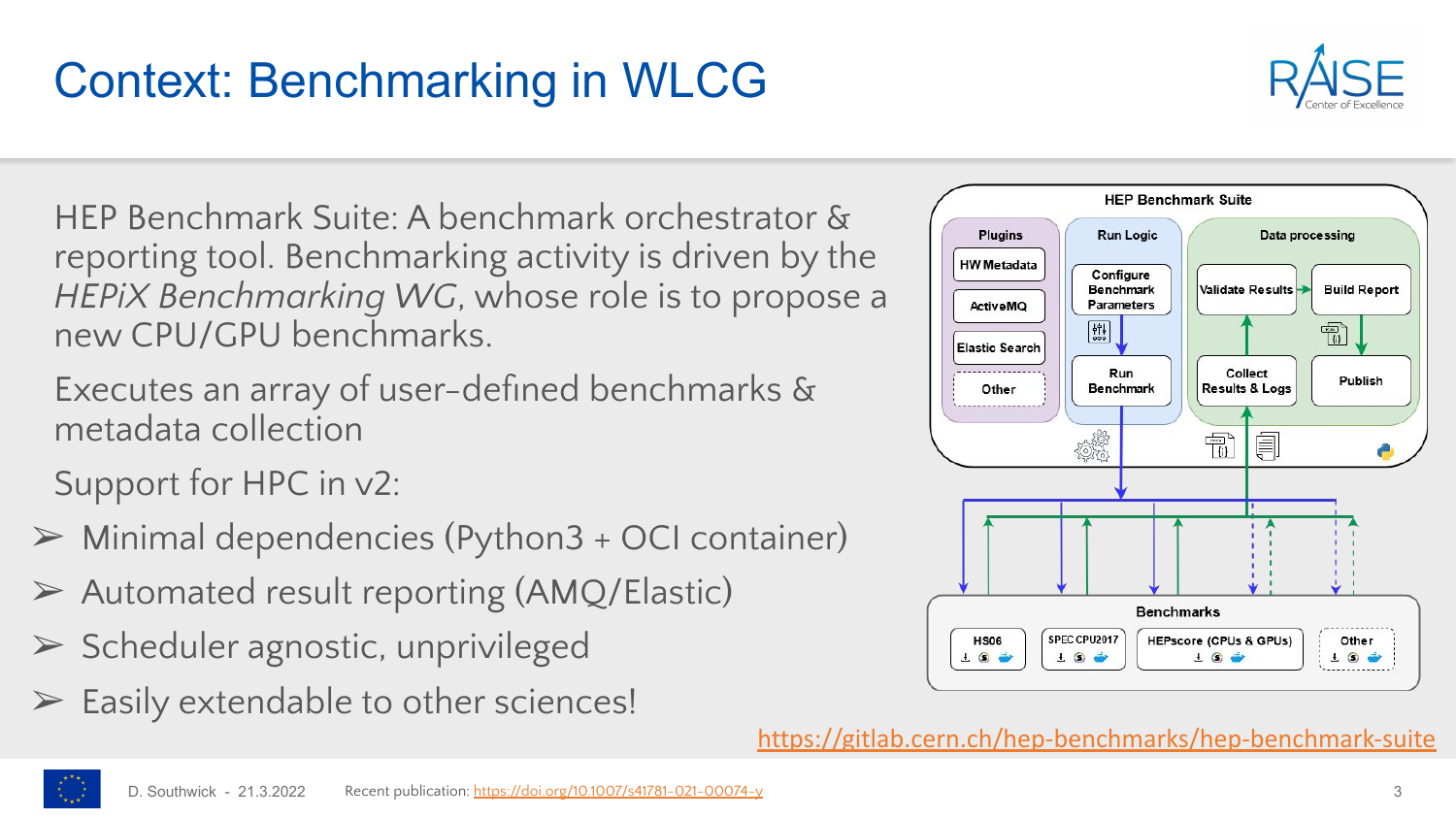## HEP Benchmark Suite: A benchmark orchestrator &

reporting tool. Benchmarking activity is driven by the *HEPiX Benchmarking WG*, whose role is to propose a new CPU/GPU benchmarks.

Executes an array of user-defined benchmarks & metadata collection

Support for HPC in v2:

- $\triangleright$  Minimal dependencies (Python3 + OCI container)
- ➢ Automated result reporting (AMQ/Elastic)
- $\triangleright$  Scheduler agnostic, unprivileged
- $\triangleright$  Easily extendable to other sciences!





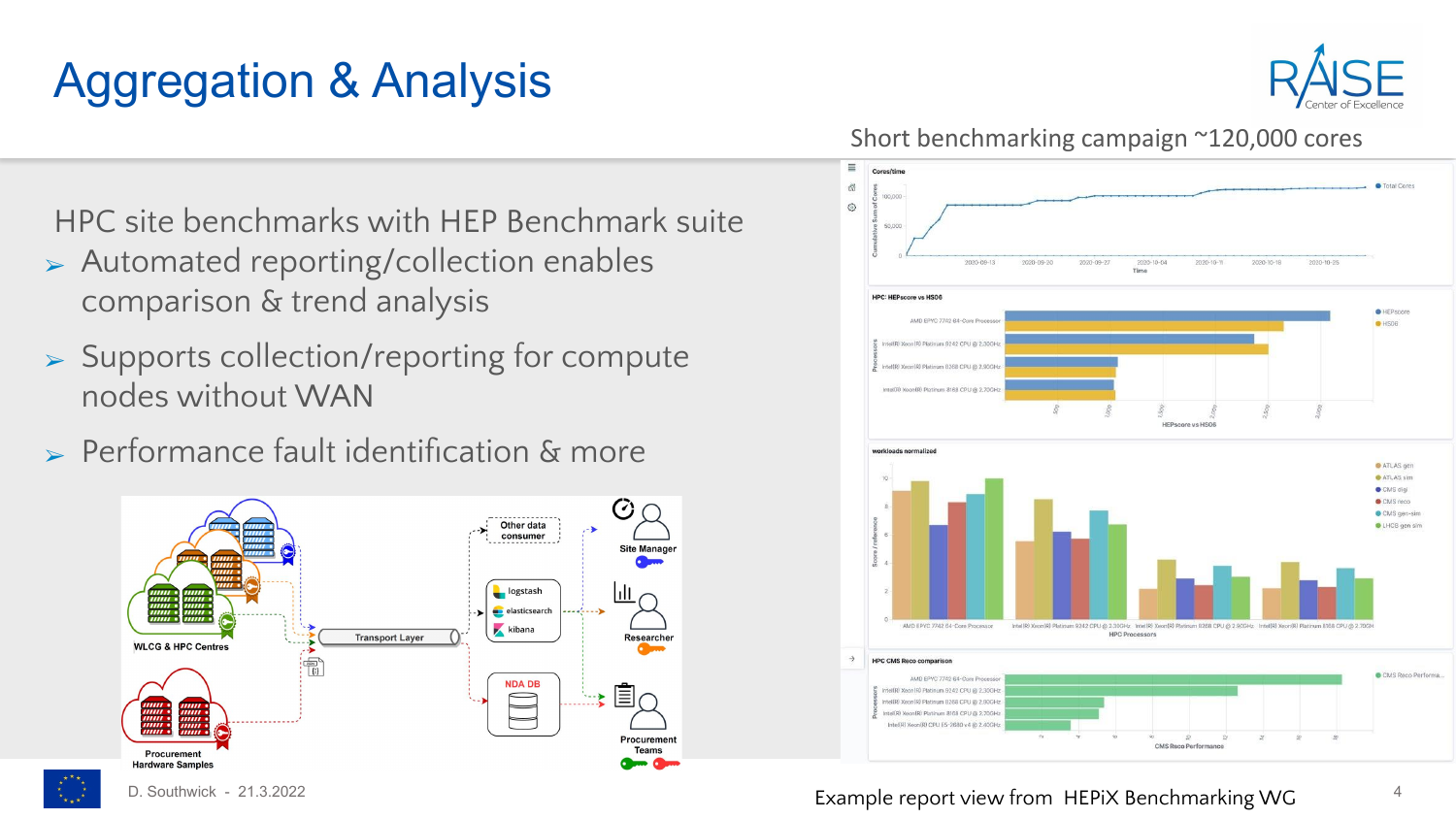### Aggregation & Analysis



#### Short benchmarking campaign ~120,000 cores

HPC site benchmarks with HEP Benchmark suite

- ➢ Automated reporting/collection enables comparison & trend analysis
- ➢ Supports collection/reporting for compute nodes without WAN
- $\triangleright$  Performance fault identification & more





Ġ,

D. Southwick - 21.3.2022 **Accord 4 Example report view from HEPiX Benchmarking WG** 4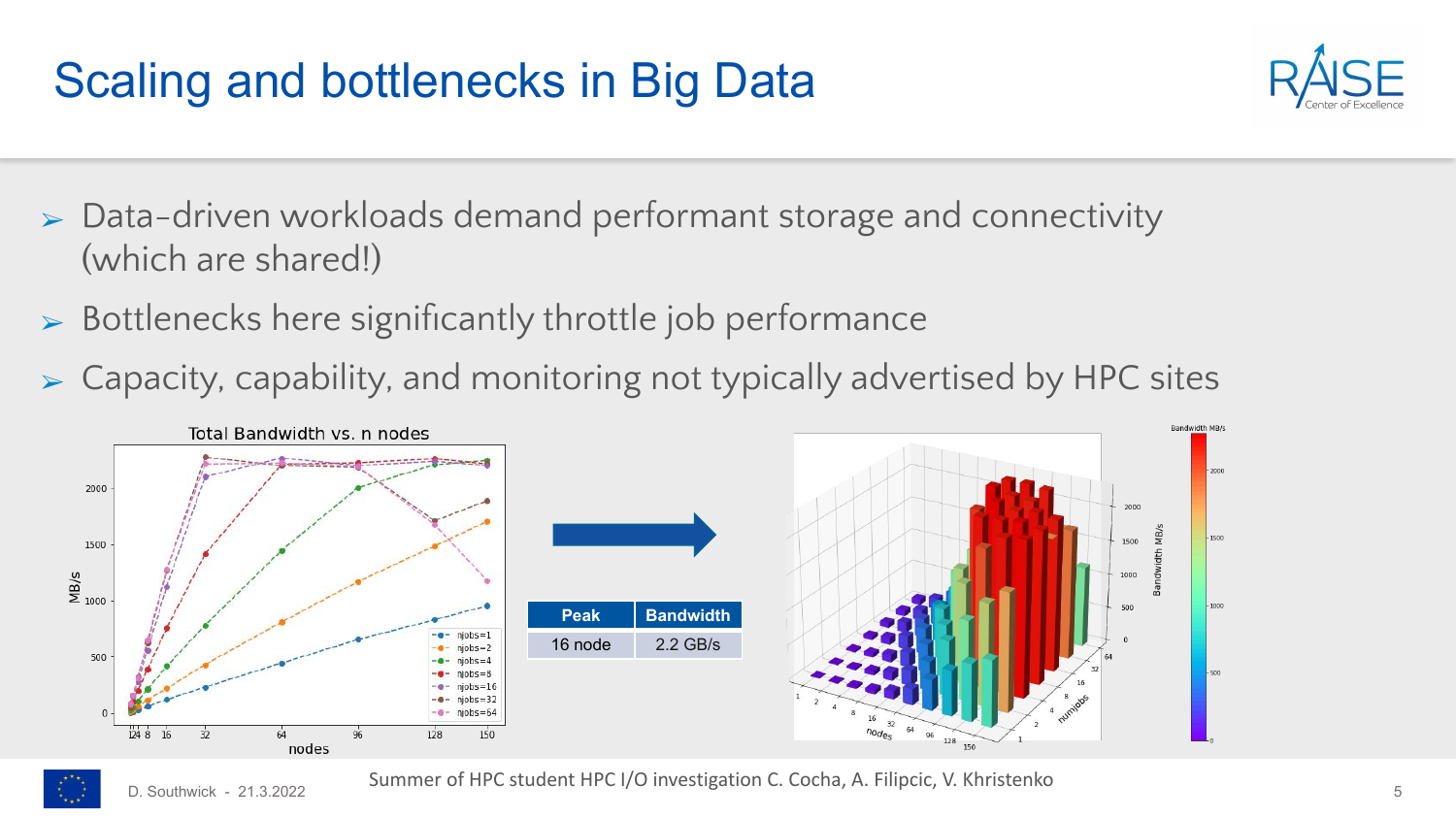#### Scaling and bottlenecks in Big Data



- $\triangleright$  Data-driven workloads demand performant storage and connectivity (which are shared!)
- ➢ Bottlenecks here significantly throttle job performance
- ➢ Capacity, capability, and monitoring not typically advertised by HPC sites



D. Southwick - 21.3.2022  $\sim$  Sammer of the Statement of  $\sim$  Mestigation C. Coena, A. Timpere, V. Kindsteine Summer of HPC student HPC I/O investigation C. Cocha, A. Filipcic, V. Khristenko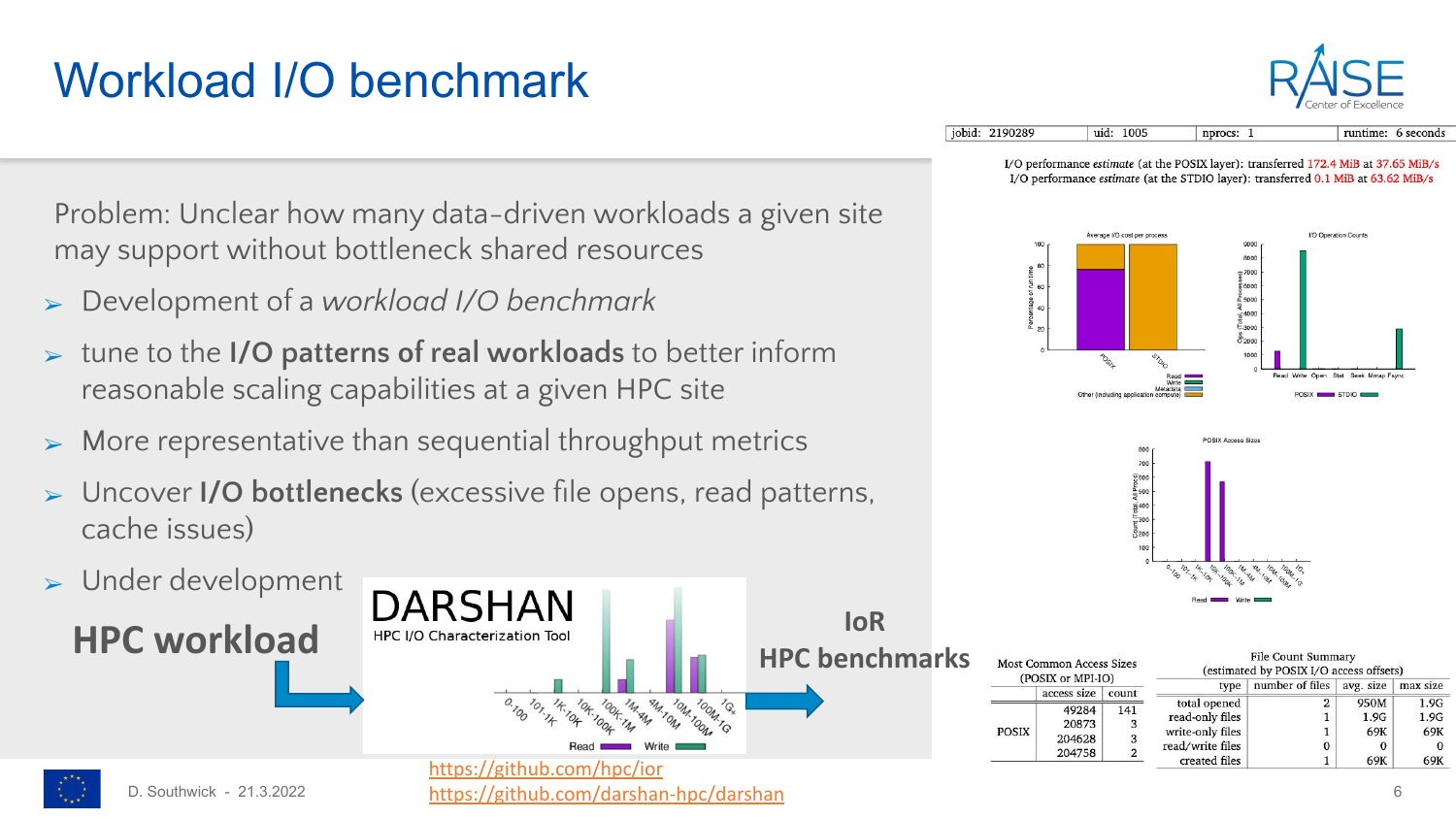### Workload I/O benchmark



jobid: 2190289 uid: 1005 nprocs: 1 runtime: 6 seconds

> I/O performance estimate (at the POSIX layer): transferred 172.4 MiB at 37.65 MiB/s I/O performance estimate (at the STDIO layer): transferred 0.1 MiB at 63.62 MiB/s





|      | <b>HPC benchmarks</b> |       | <b>Most Common Access Sizes</b><br>(POSIX or MPI-IO) |       | <b>File Count Summary</b><br>(estimated by POSIX I/O access offsets) |                 |              |              |
|------|-----------------------|-------|------------------------------------------------------|-------|----------------------------------------------------------------------|-----------------|--------------|--------------|
|      |                       |       | access size                                          | count | type                                                                 | number of files | avg. size    | max size     |
| IZIG |                       | POSIX | 49284<br>20873                                       | 141   | total opened<br>read-only files                                      |                 | 950M<br>1.9G | 1.9G<br>1.9G |
|      |                       |       | 204628<br>204758                                     |       | write-only files<br>read/write files                                 |                 | 69K          | 69K          |
|      |                       |       |                                                      |       | created files                                                        |                 | 69K          | 69K          |

Problem: Unclear how many data-driven workloads a given site may support without bottleneck shared resources

- ➢ Development of a *workload I/O benchmark*
- ➢ tune to the **I/O patterns of real workloads** to better inform reasonable scaling capabilities at a given HPC site
- $\triangleright$  More representative than sequential throughput metrics
- ➢ Uncover **I/O bottlenecks** (excessive file opens, read patterns, cache issues)

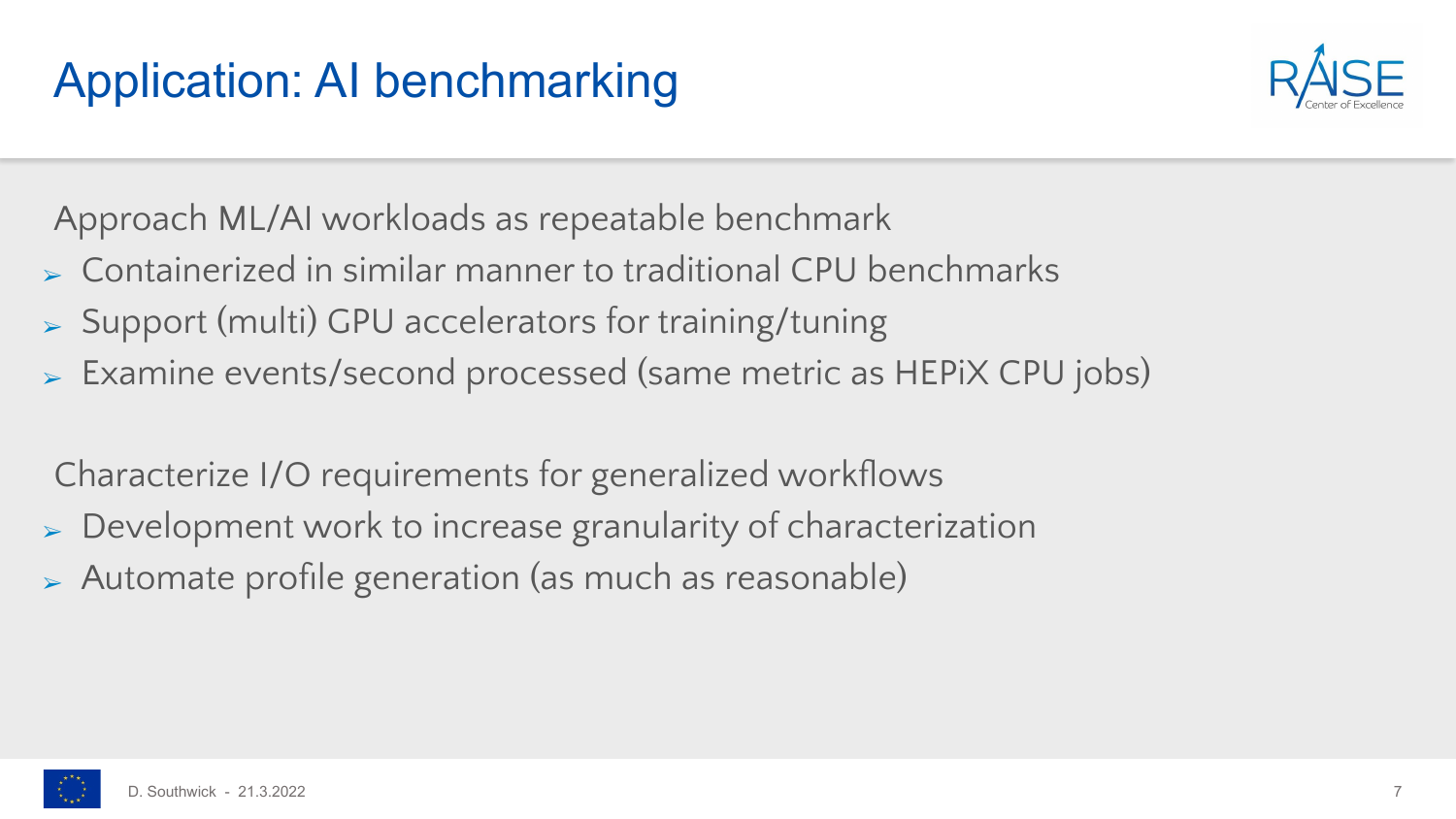

Approach ML/AI workloads as repeatable benchmark

- ➢ Containerized in similar manner to traditional CPU benchmarks
- ➢ Support (multi) GPU accelerators for training/tuning
- ➢ Examine events/second processed (same metric as HEPiX CPU jobs)

Characterize I/O requirements for generalized workflows

- ➢ Development work to increase granularity of characterization
- ➢ Automate profile generation (as much as reasonable)

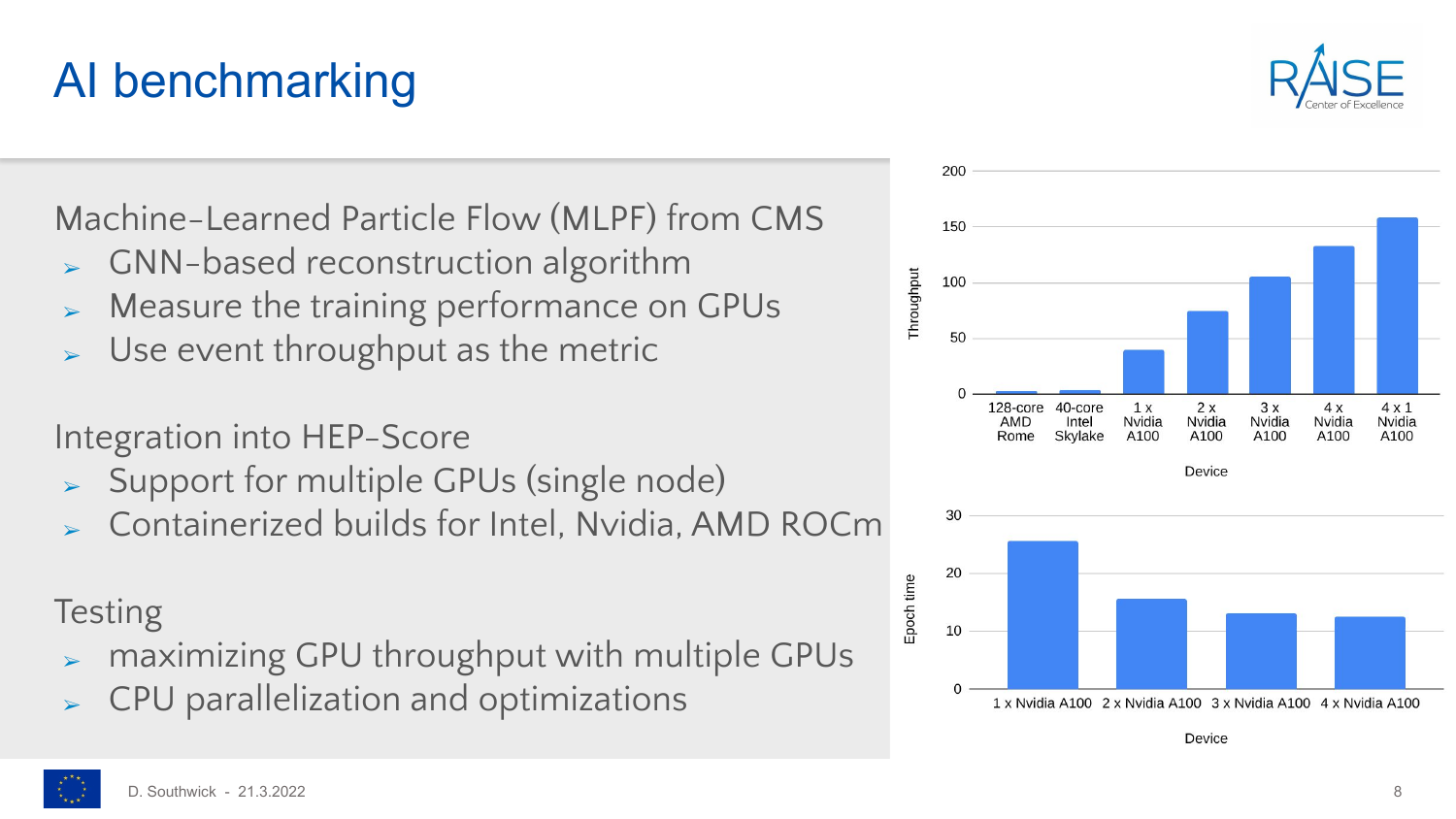#### AI benchmarking

Machine-Learned Particle Flow (MLPF) from CMS

- ➢ GNN-based reconstruction algorithm
- ➢ Measure the training performance on GPUs
- Use event throughput as the metric

Integration into HEP-Score

- ➢ Support for multiple GPUs (single node)
- ➢ Containerized builds for Intel, Nvidia, AMD ROCm

#### **Testing**

- ➢ maximizing GPU throughput with multiple GPUs
- ➢ CPU parallelization and optimizations



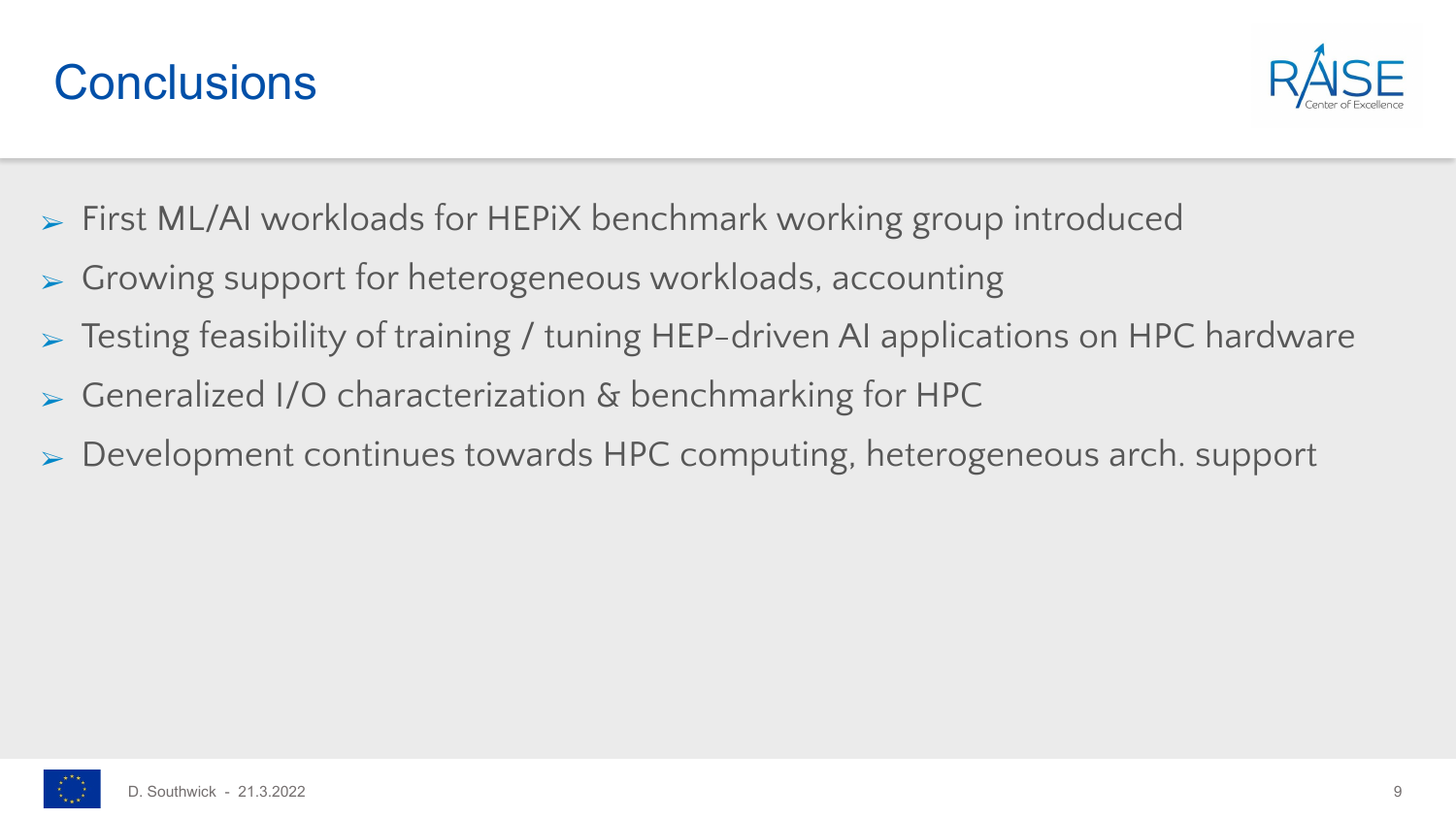



- ➢ First ML/AI workloads for HEPiX benchmark working group introduced
- ➢ Growing support for heterogeneous workloads, accounting
- ➢ Testing feasibility of training / tuning HEP-driven AI applications on HPC hardware
- ➢ Generalized I/O characterization & benchmarking for HPC
- ➢ Development continues towards HPC computing, heterogeneous arch. support

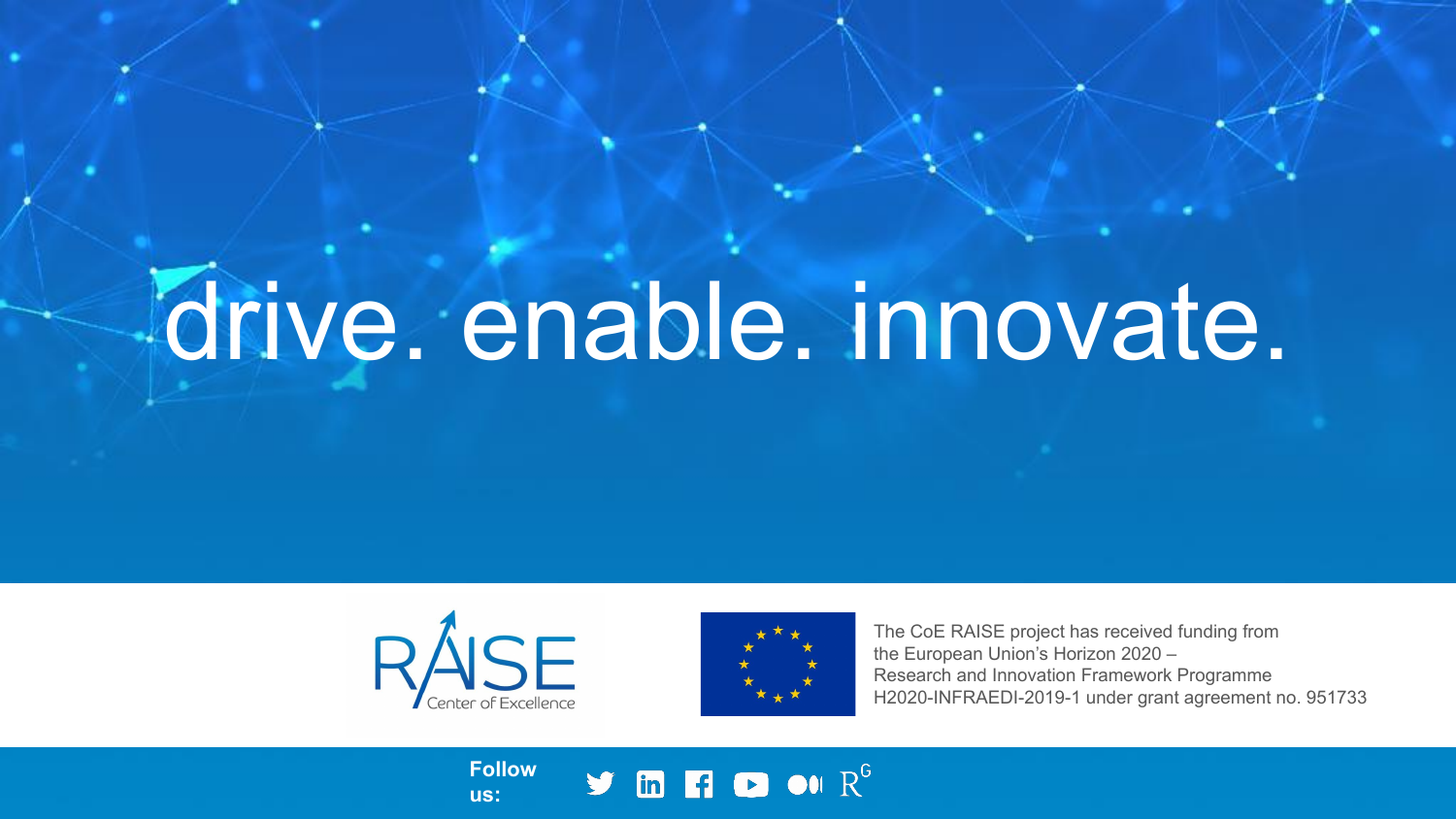# drive. enable. innovate.



**us:**



The CoE RAISE project has received funding from the European Union's Horizon 2020 – Research and Innovation Framework Programme H2020-INFRAEDI-2019-1 under grant agreement no. 951733

**Follow**   $\blacktriangleright$  in Fig. on  $R^G$